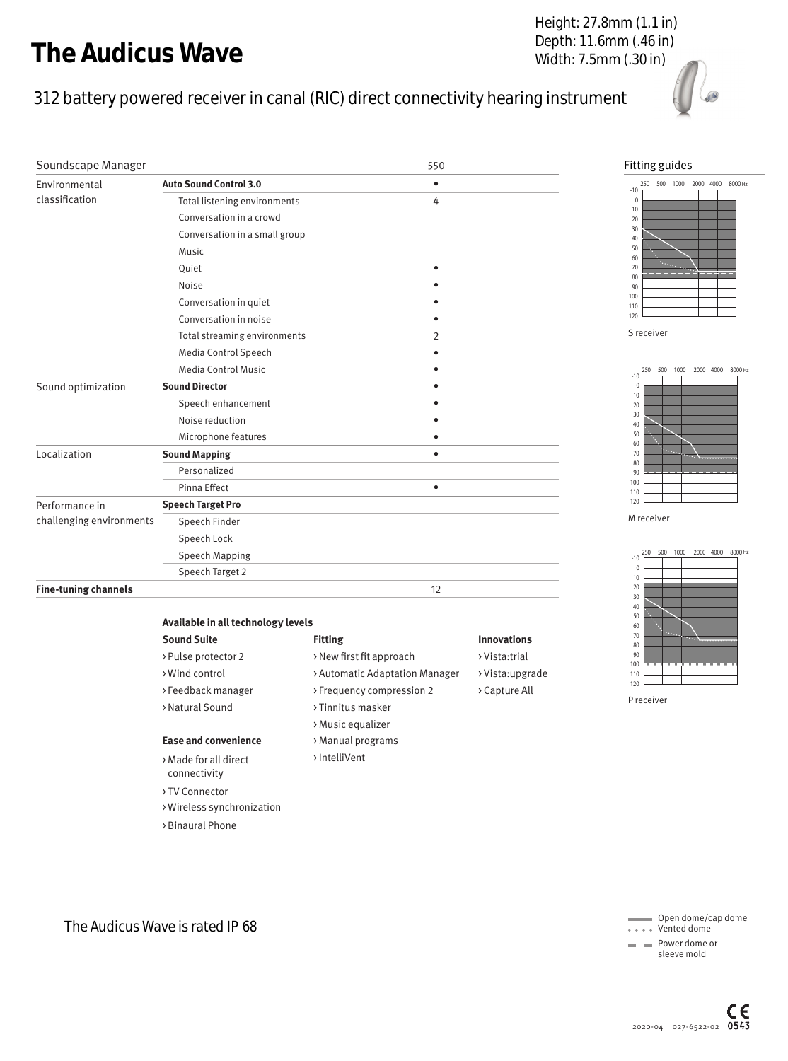# The Audicus Wave

## 312 battery powered receiver in canal (RIC) direct connectivity hearing instrument



| The Audicus Wave                           |                                                     | Height: 27.8mm (1.1 in)<br>Depth: 11.6mm (.46 in)<br>Width: 7.5mm (.30 in)         |                    |                   |                     |
|--------------------------------------------|-----------------------------------------------------|------------------------------------------------------------------------------------|--------------------|-------------------|---------------------|
|                                            |                                                     | 312 battery powered receiver in canal (RIC) direct connectivity hearing instrument |                    |                   |                     |
| Soundscape Manager                         |                                                     | 550                                                                                |                    |                   | Fitting guid        |
| Environmental                              | <b>Auto Sound Control 3.0</b>                       | $\bullet$                                                                          |                    |                   | 500<br>250<br>$-10$ |
| classification                             | Total listening environments                        | 4                                                                                  |                    |                   | $\Omega$            |
|                                            | Conversation in a crowd                             |                                                                                    |                    |                   | 10<br>20            |
|                                            | Conversation in a small group                       |                                                                                    |                    |                   | 30<br>40            |
|                                            | Music                                               |                                                                                    |                    | 50<br>60          |                     |
|                                            | Quiet                                               | $\bullet$                                                                          |                    |                   | 70<br>80            |
|                                            | Noise                                               | $\bullet$                                                                          |                    |                   | 90                  |
|                                            | Conversation in quiet                               | $\bullet$                                                                          |                    |                   | 100<br>110          |
|                                            | Conversation in noise                               | $\bullet$                                                                          |                    |                   | 120                 |
|                                            | Total streaming environments                        | 2                                                                                  |                    |                   | S receiver          |
|                                            | Media Control Speech                                | $\bullet$                                                                          |                    |                   |                     |
|                                            | <b>Media Control Music</b>                          | $\bullet$                                                                          |                    |                   | 250<br>500<br>$-10$ |
| Sound optimization                         | <b>Sound Director</b>                               | $\bullet$                                                                          |                    |                   | $\Omega$<br>10      |
|                                            | Speech enhancement                                  | $\bullet$                                                                          |                    |                   | 20<br>30            |
|                                            | Noise reduction                                     |                                                                                    |                    |                   | 40<br>50            |
|                                            | Microphone features                                 | $\bullet$                                                                          |                    |                   | 60                  |
| Localization                               | <b>Sound Mapping</b>                                | $\bullet$                                                                          |                    |                   | 70<br>80            |
|                                            | Personalized                                        |                                                                                    |                    |                   | 90<br>100           |
|                                            | Pinna Effect                                        | ٠                                                                                  |                    |                   | 110<br>120          |
| Performance in<br>challenging environments | <b>Speech Target Pro</b>                            |                                                                                    |                    |                   | M receiver          |
|                                            | Speech Finder<br>Speech Lock                        |                                                                                    |                    |                   |                     |
|                                            | Speech Mapping                                      |                                                                                    |                    |                   | 250<br>500          |
|                                            | Speech Target 2                                     |                                                                                    |                    | $-10$<br>$\Omega$ |                     |
| <b>Fine-tuning channels</b>                |                                                     | 12                                                                                 |                    |                   | 10<br>20            |
|                                            |                                                     |                                                                                    |                    |                   | 30<br>40            |
|                                            | Available in all technology levels                  |                                                                                    |                    |                   | 50<br>60            |
|                                            | <b>Sound Suite</b>                                  | <b>Fitting</b>                                                                     | <b>Innovations</b> |                   | 70                  |
|                                            | > Pulse protector 2                                 | > New first fit approach                                                           | >Vista:trial       |                   | 80<br>90            |
|                                            | > Wind control                                      | > Automatic Adaptation Manager                                                     | >Vista:upgrade     |                   | 100<br>110          |
|                                            | > Feedback manager                                  | > Frequency compression 2                                                          | > Capture All      |                   | 120                 |
|                                            | > Natural Sound                                     | > Tinnitus masker                                                                  |                    |                   | P receiver          |
|                                            |                                                     | > Music equalizer                                                                  |                    |                   |                     |
|                                            | <b>Ease and convenience</b>                         | > Manual programs                                                                  |                    |                   |                     |
|                                            | > Made for all direct<br>connectivity               | >IntelliVent                                                                       |                    |                   |                     |
|                                            | > TV Connector<br>> Wireless synchronization        |                                                                                    |                    |                   |                     |
|                                            | > Binaural Phone<br>The Audicus Wave is rated IP 68 |                                                                                    |                    |                   | Oper                |
|                                            |                                                     |                                                                                    |                    |                   | • • Vent            |

#### Fitting guides







 Open dome/cap dome Vented dome

 Power dome or sleeve mold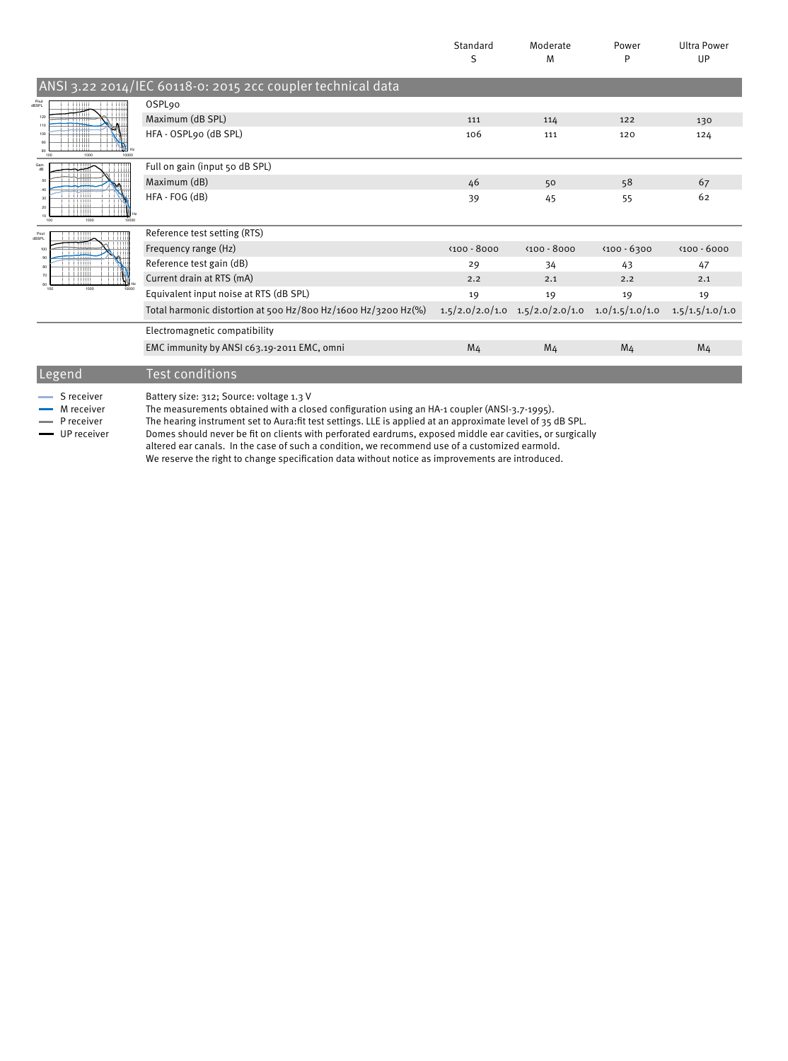|                                                           |                                                                                                                                          | Standard<br>S  | Moderate<br>M                                         | Power<br>P     | <b>Ultra Power</b><br>UP |
|-----------------------------------------------------------|------------------------------------------------------------------------------------------------------------------------------------------|----------------|-------------------------------------------------------|----------------|--------------------------|
|                                                           | ANSI 3.22 2014/IEC 60118-0: 2015 2cc coupler technical data                                                                              |                |                                                       |                |                          |
| Pout<br>dBSPL<br>120<br>100<br>80<br>1000<br>10000<br>100 | OSPL <sub>90</sub>                                                                                                                       |                |                                                       |                |                          |
|                                                           | Maximum (dB SPL)                                                                                                                         | 111            | 114                                                   | 122            | 130                      |
|                                                           | HFA - OSPL90 (dB SPL)                                                                                                                    | 106            | 111                                                   | 120            | 124                      |
| Gain<br>dB                                                | Full on gain (input 50 dB SPL)                                                                                                           |                |                                                       |                |                          |
|                                                           | Maximum (dB)                                                                                                                             | 46             | 50                                                    | 58             | 67                       |
| 10<br>1000<br>100<br>10000                                | HFA - FOG (dB)                                                                                                                           | 39             | 45                                                    | 55             | 62                       |
| Pout<br>dBSPL                                             | Reference test setting (RTS)                                                                                                             |                |                                                       |                |                          |
|                                                           | Frequency range (Hz)                                                                                                                     | $(100 - 8000)$ | $(100 - 8000)$                                        | $(100 - 6300)$ | $400 - 6000$             |
|                                                           | Reference test gain (dB)                                                                                                                 | 29             | 34                                                    | 43             | 47                       |
| 1000<br>100                                               | Current drain at RTS (mA)                                                                                                                | 2.2            | 2.1                                                   | 2.2            | 2.1                      |
|                                                           | Equivalent input noise at RTS (dB SPL)                                                                                                   | 19             | 19                                                    | 19             | 19                       |
|                                                           | Total harmonic distortion at 500 Hz/800 Hz/1600 Hz/3200 Hz(%)                                                                            |                | $1.5/2.0/2.0/1.0$ $1.5/2.0/2.0/1.0$ $1.0/1.5/1.0/1.0$ |                | 1.5/1.5/1.0/1.0          |
|                                                           | Electromagnetic compatibility                                                                                                            |                |                                                       |                |                          |
|                                                           | EMC immunity by ANSI c63.19-2011 EMC, omni                                                                                               | M <sub>4</sub> | M <sub>4</sub>                                        | M <sub>4</sub> | M <sub>4</sub>           |
| Legend                                                    | Test conditions                                                                                                                          |                |                                                       |                |                          |
| S receiver<br>M receiver                                  | Battery size: 312; Source: voltage 1.3 V<br>The measurements obtained with a closed configuration using an HA-1 coupler (ANSI-3.7-1995). |                |                                                       |                |                          |

P receiver The hearing instrument set to Aura:fit test settings. LLE is applied at an approximate level of 35 dB SPL. UP receiver Domes should never be ¡t on clients with perforated eardrums, exposed middle ear cavities, or surgically

altered ear canals. In the case of such a condition, we recommend use of a customized earmold. We reserve the right to change specification data without notice as improvements are introduced.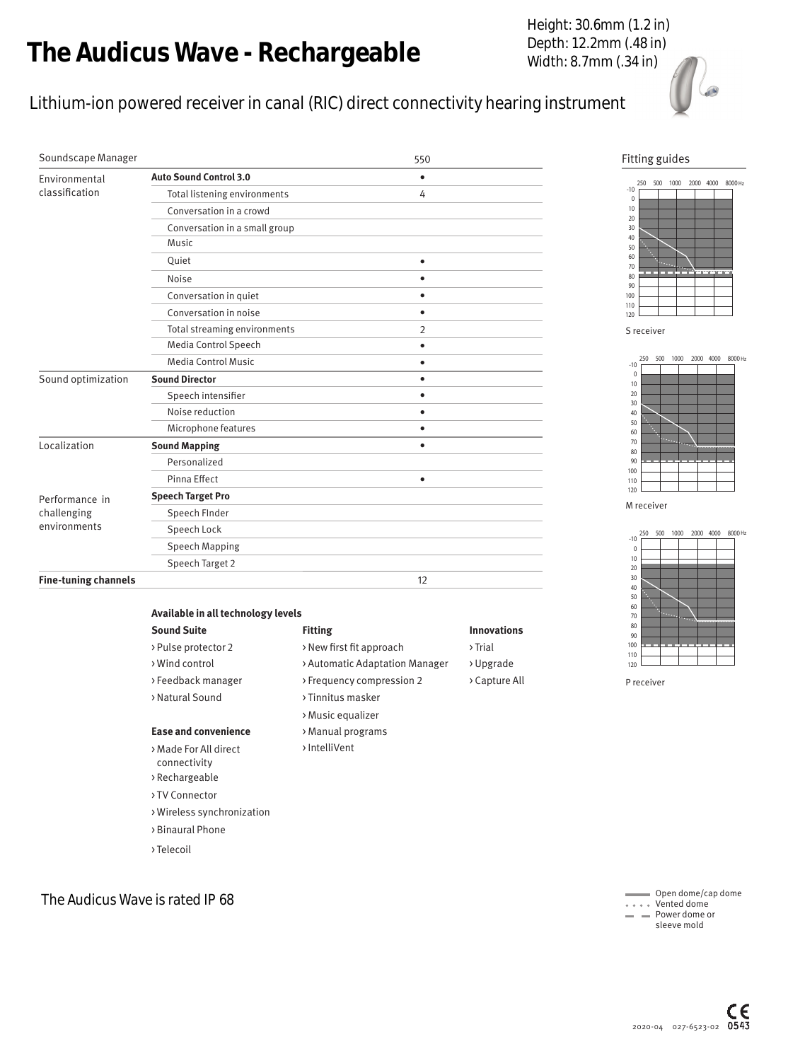# The Audicus Wave - Rechargeable

### Lithium-ion powered receiver in canal (RIC) direct connectivity hearing instrument

|                                               | he Audicus Wave - Rechargeable                                                                                                                                                                                                                                                                                       |                                                                                                                                                                                          |                                                                        | Height: 30.6mm (1.2 in)<br>Depth: 12.2mm (.48 in)<br>Width: 8.7mm (.34 in)                                     |
|-----------------------------------------------|----------------------------------------------------------------------------------------------------------------------------------------------------------------------------------------------------------------------------------------------------------------------------------------------------------------------|------------------------------------------------------------------------------------------------------------------------------------------------------------------------------------------|------------------------------------------------------------------------|----------------------------------------------------------------------------------------------------------------|
|                                               |                                                                                                                                                                                                                                                                                                                      | ithium-ion powered receiver in canal (RIC) direct connectivity hearing instrument                                                                                                        |                                                                        |                                                                                                                |
| Soundscape Manager                            |                                                                                                                                                                                                                                                                                                                      | 550                                                                                                                                                                                      |                                                                        | Fitting gu                                                                                                     |
| Environmental<br>classification               | <b>Auto Sound Control 3.0</b><br>Total listening environments<br>Conversation in a crowd<br>Conversation in a small group<br>Music<br>Quiet<br>Noise<br>Conversation in quiet<br>Conversation in noise<br>Total streaming environments                                                                               | $\bullet$<br>4<br>$\bullet$<br>$\bullet$<br>$\bullet$<br>$\bullet$<br>2                                                                                                                  |                                                                        | 250 500<br>$-10$<br>0<br>10<br>20<br>30<br>40<br>50<br>60<br>70<br>80<br>90<br>100<br>110<br>120<br>S receiver |
| Sound optimization                            | Media Control Speech<br><b>Media Control Music</b><br><b>Sound Director</b>                                                                                                                                                                                                                                          | $\bullet$<br>$\bullet$<br>$\bullet$                                                                                                                                                      |                                                                        | 250 500<br>$-10$<br>$\mathbb O$                                                                                |
|                                               | Speech intensifier<br>Noise reduction<br>Microphone features                                                                                                                                                                                                                                                         | $\bullet$<br>$\bullet$<br>$\bullet$                                                                                                                                                      |                                                                        | $10\,$<br>20<br>30<br>40<br>50<br>60                                                                           |
| Localization                                  | <b>Sound Mapping</b><br>Personalized<br>Pinna Effect                                                                                                                                                                                                                                                                 | $\bullet$<br>$\bullet$                                                                                                                                                                   |                                                                        | 70<br>80<br>90<br>100<br>110                                                                                   |
| Performance in<br>challenging<br>environments | <b>Speech Target Pro</b><br>Speech Finder<br>Speech Lock<br><b>Speech Mapping</b><br>Speech Target 2                                                                                                                                                                                                                 |                                                                                                                                                                                          |                                                                        | 120<br>M receiver<br>500<br>250<br>$-10$<br>$\mathbf 0$<br>10                                                  |
| <b>Fine-tuning channels</b>                   |                                                                                                                                                                                                                                                                                                                      | 12                                                                                                                                                                                       |                                                                        | 20<br>30<br>40<br>50<br>60                                                                                     |
|                                               | Available in all technology levels<br><b>Sound Suite</b><br>> Pulse protector 2<br>> Wind control<br>>Feedback manager<br>> Natural Sound<br><b>Ease and convenience</b><br>> Made For All direct<br>connectivity<br>> Rechargeable<br>> TV Connector<br>> Wireless synchronization<br>> Binaural Phone<br>>Telecoil | <b>Fitting</b><br>> New first fit approach<br>> Automatic Adaptation Manager<br>> Frequency compression 2<br>> Tinnitus masker<br>> Music equalizer<br>> Manual programs<br>>IntelliVent | <b>Innovations</b><br>$\rightarrow$ Trial<br>>Upgrade<br>> Capture All | 70<br>80<br>90<br>100<br>110<br>120<br>P receiver                                                              |
| The Audicus Wave is rated IP 68               |                                                                                                                                                                                                                                                                                                                      |                                                                                                                                                                                          |                                                                        | ⊢Ope<br>. Ver                                                                                                  |

#### Fitting guides



0





 Open dome/cap dome Vented dome Power dome or sleeve mold

| Available in all technology levels |                    |
|------------------------------------|--------------------|
| <b>Fitting</b>                     | <b>Innovations</b> |
| > New first fit approach           | > Trial            |
| > Automatic Adaptation Manager     | > Upgrade          |
| > Frequency compression 2          | > Capture All      |
| > Tinnitus masker                  |                    |
| > Music equalizer                  |                    |
| > Manual programs                  |                    |
| >IntelliVent                       |                    |
|                                    |                    |
|                                    |                    |

- > TV Connector
- > Wireless synchronization
- > Binaural Phone
- > Telecoil